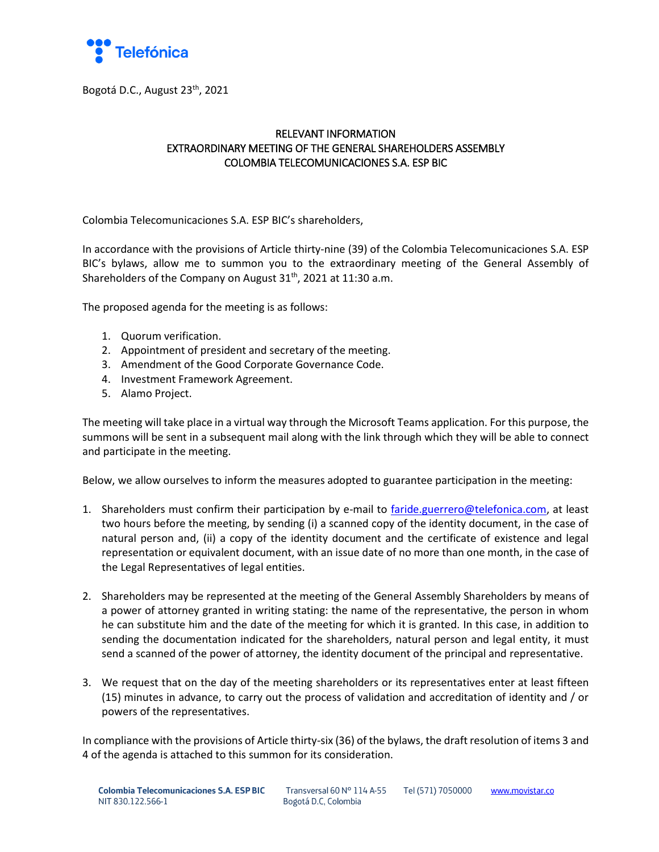

Bogotá D.C., August 23<sup>th</sup>, 2021

# RELEVANT INFORMATION EXTRAORDINARY MEETING OF THE GENERAL SHAREHOLDERS ASSEMBLY COLOMBIA TELECOMUNICACIONES S.A. ESP BIC

Colombia Telecomunicaciones S.A. ESP BIC's shareholders,

In accordance with the provisions of Article thirty-nine (39) of the Colombia Telecomunicaciones S.A. ESP BIC's bylaws, allow me to summon you to the extraordinary meeting of the General Assembly of Shareholders of the Company on August 31<sup>th</sup>, 2021 at 11:30 a.m.

The proposed agenda for the meeting is as follows:

- 1. Quorum verification.
- 2. Appointment of president and secretary of the meeting.
- 3. Amendment of the Good Corporate Governance Code.
- 4. Investment Framework Agreement.
- 5. Alamo Project.

The meeting will take place in a virtual way through the Microsoft Teams application. For this purpose, the summons will be sent in a subsequent mail along with the link through which they will be able to connect and participate in the meeting.

Below, we allow ourselves to inform the measures adopted to guarantee participation in the meeting:

- 1. Shareholders must confirm their participation by e-mail to [faride.guerrero@telefonica.com,](mailto:faride.guerrero@telefonica.com) at least two hours before the meeting, by sending (i) a scanned copy of the identity document, in the case of natural person and, (ii) a copy of the identity document and the certificate of existence and legal representation or equivalent document, with an issue date of no more than one month, in the case of the Legal Representatives of legal entities.
- 2. Shareholders may be represented at the meeting of the General Assembly Shareholders by means of a power of attorney granted in writing stating: the name of the representative, the person in whom he can substitute him and the date of the meeting for which it is granted. In this case, in addition to sending the documentation indicated for the shareholders, natural person and legal entity, it must send a scanned of the power of attorney, the identity document of the principal and representative.
- 3. We request that on the day of the meeting shareholders or its representatives enter at least fifteen (15) minutes in advance, to carry out the process of validation and accreditation of identity and / or powers of the representatives.

In compliance with the provisions of Article thirty-six (36) of the bylaws, the draft resolution of items 3 and 4 of the agenda is attached to this summon for its consideration.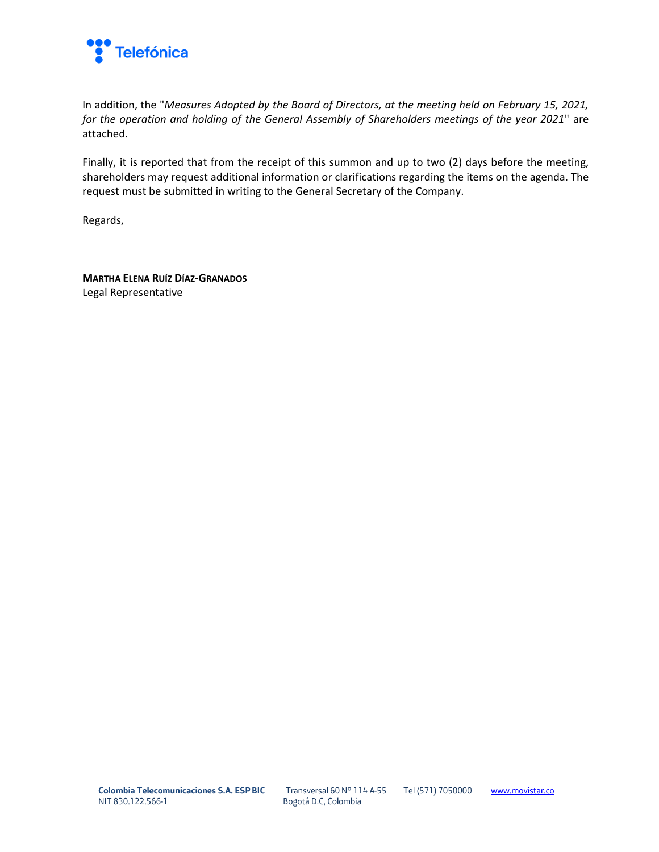

In addition, the "*Measures Adopted by the Board of Directors, at the meeting held on February 15, 2021, for the operation and holding of the General Assembly of Shareholders meetings of the year 2021*" are attached.

Finally, it is reported that from the receipt of this summon and up to two (2) days before the meeting, shareholders may request additional information or clarifications regarding the items on the agenda. The request must be submitted in writing to the General Secretary of the Company.

Regards,

**MARTHA ELENA RUÍZ DÍAZ-GRANADOS** Legal Representative

Transversal 60 N° 114 A-55 Bogotá D.C, Colombia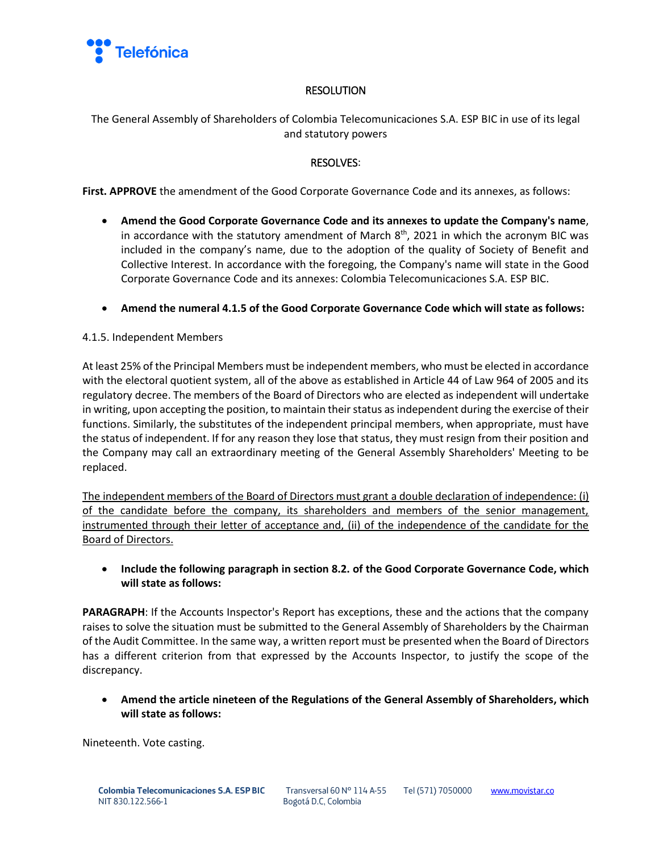

### RESOLUTION

The General Assembly of Shareholders of Colombia Telecomunicaciones S.A. ESP BIC in use of its legal and statutory powers

# RESOLVES:

**First. APPROVE** the amendment of the Good Corporate Governance Code and its annexes, as follows:

- **Amend the Good Corporate Governance Code and its annexes to update the Company's name**, in accordance with the statutory amendment of March  $8<sup>th</sup>$ , 2021 in which the acronym BIC was included in the company's name, due to the adoption of the quality of Society of Benefit and Collective Interest. In accordance with the foregoing, the Company's name will state in the Good Corporate Governance Code and its annexes: Colombia Telecomunicaciones S.A. ESP BIC.
- **Amend the numeral 4.1.5 of the Good Corporate Governance Code which will state as follows:**

#### 4.1.5. Independent Members

At least 25% of the Principal Members must be independent members, who must be elected in accordance with the electoral quotient system, all of the above as established in Article 44 of Law 964 of 2005 and its regulatory decree. The members of the Board of Directors who are elected as independent will undertake in writing, upon accepting the position, to maintain their status as independent during the exercise of their functions. Similarly, the substitutes of the independent principal members, when appropriate, must have the status of independent. If for any reason they lose that status, they must resign from their position and the Company may call an extraordinary meeting of the General Assembly Shareholders' Meeting to be replaced.

The independent members of the Board of Directors must grant a double declaration of independence: (i) of the candidate before the company, its shareholders and members of the senior management, instrumented through their letter of acceptance and, (ii) of the independence of the candidate for the Board of Directors.

• **Include the following paragraph in section 8.2. of the Good Corporate Governance Code, which will state as follows:**

**PARAGRAPH**: If the Accounts Inspector's Report has exceptions, these and the actions that the company raises to solve the situation must be submitted to the General Assembly of Shareholders by the Chairman of the Audit Committee. In the same way, a written report must be presented when the Board of Directors has a different criterion from that expressed by the Accounts Inspector, to justify the scope of the discrepancy.

• **Amend the article nineteen of the Regulations of the General Assembly of Shareholders, which will state as follows:**

Nineteenth. Vote casting.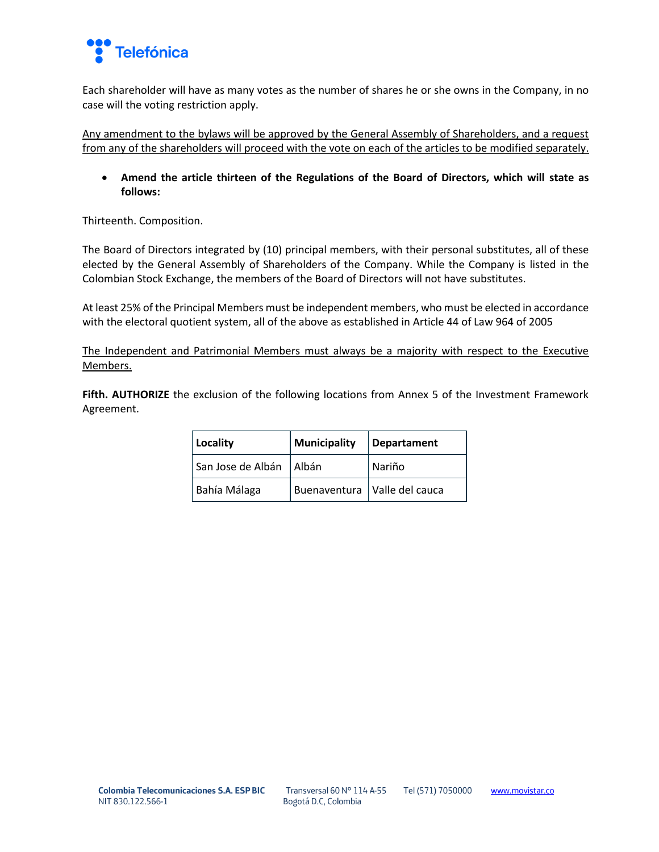

Each shareholder will have as many votes as the number of shares he or she owns in the Company, in no case will the voting restriction apply.

Any amendment to the bylaws will be approved by the General Assembly of Shareholders, and a request from any of the shareholders will proceed with the vote on each of the articles to be modified separately.

• **Amend the article thirteen of the Regulations of the Board of Directors, which will state as follows:**

Thirteenth. Composition.

The Board of Directors integrated by (10) principal members, with their personal substitutes, all of these elected by the General Assembly of Shareholders of the Company. While the Company is listed in the Colombian Stock Exchange, the members of the Board of Directors will not have substitutes.

At least 25% of the Principal Members must be independent members, who must be elected in accordance with the electoral quotient system, all of the above as established in Article 44 of Law 964 of 2005

The Independent and Patrimonial Members must always be a majority with respect to the Executive Members.

**Fifth. AUTHORIZE** the exclusion of the following locations from Annex 5 of the Investment Framework Agreement.

| Locality                  | Municipality | Departament                    |
|---------------------------|--------------|--------------------------------|
| San Jose de Albán   Albán |              | Nariño                         |
| Bahía Málaga              |              | Buenaventura   Valle del cauca |

Transversal 60 N° 114 A-55 Bogotá D.C, Colombia